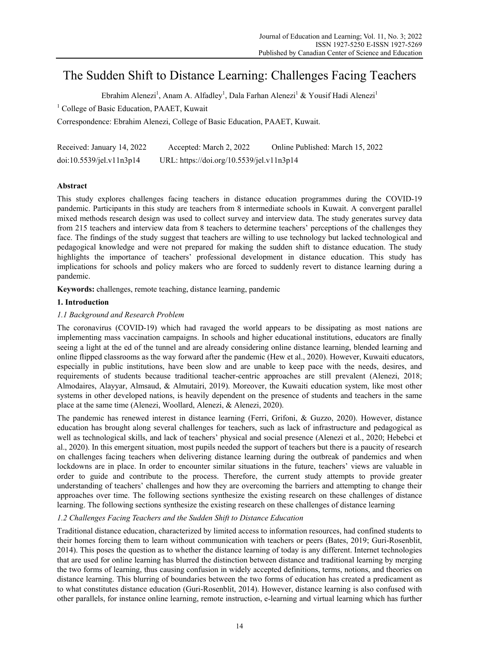# The Sudden Shift to Distance Learning: Challenges Facing Teachers

Ebrahim Alenezi<sup>1</sup>, Anam A. Alfadley<sup>1</sup>, Dala Farhan Alenezi<sup>1</sup> & Yousif Hadi Alenezi<sup>1</sup>

<sup>1</sup> College of Basic Education, PAAET, Kuwait

Correspondence: Ebrahim Alenezi, College of Basic Education, PAAET, Kuwait.

| Received: January 14, 2022 | Accepted: March 2, 2022                   | Online Published: March 15, 2022 |
|----------------------------|-------------------------------------------|----------------------------------|
| doi:10.5539/jel.v11n3p14   | URL: https://doi.org/10.5539/jel.v11n3p14 |                                  |

# **Abstract**

This study explores challenges facing teachers in distance education programmes during the COVID-19 pandemic. Participants in this study are teachers from 8 intermediate schools in Kuwait. A convergent parallel mixed methods research design was used to collect survey and interview data. The study generates survey data from 215 teachers and interview data from 8 teachers to determine teachers' perceptions of the challenges they face. The findings of the study suggest that teachers are willing to use technology but lacked technological and pedagogical knowledge and were not prepared for making the sudden shift to distance education. The study highlights the importance of teachers' professional development in distance education. This study has implications for schools and policy makers who are forced to suddenly revert to distance learning during a pandemic.

**Keywords:** challenges, remote teaching, distance learning, pandemic

# **1. Introduction**

# *1.1 Background and Research Problem*

The coronavirus (COVID-19) which had ravaged the world appears to be dissipating as most nations are implementing mass vaccination campaigns. In schools and higher educational institutions, educators are finally seeing a light at the ed of the tunnel and are already considering online distance learning, blended learning and online flipped classrooms as the way forward after the pandemic (Hew et al., 2020). However, Kuwaiti educators, especially in public institutions, have been slow and are unable to keep pace with the needs, desires, and requirements of students because traditional teacher-centric approaches are still prevalent (Alenezi, 2018; Almodaires, Alayyar, Almsaud, & Almutairi, 2019). Moreover, the Kuwaiti education system, like most other systems in other developed nations, is heavily dependent on the presence of students and teachers in the same place at the same time (Alenezi, Woollard, Alenezi, & Alenezi, 2020).

The pandemic has renewed interest in distance learning (Ferri, Grifoni, & Guzzo, 2020). However, distance education has brought along several challenges for teachers, such as lack of infrastructure and pedagogical as well as technological skills, and lack of teachers' physical and social presence (Alenezi et al., 2020; Hebebci et al., 2020). In this emergent situation, most pupils needed the support of teachers but there is a paucity of research on challenges facing teachers when delivering distance learning during the outbreak of pandemics and when lockdowns are in place. In order to encounter similar situations in the future, teachers' views are valuable in order to guide and contribute to the process. Therefore, the current study attempts to provide greater understanding of teachers' challenges and how they are overcoming the barriers and attempting to change their approaches over time. The following sections synthesize the existing research on these challenges of distance learning. The following sections synthesize the existing research on these challenges of distance learning

# *1.2 Challenges Facing Teachers and the Sudden Shift to Distance Education*

Traditional distance education, characterized by limited access to information resources, had confined students to their homes forcing them to learn without communication with teachers or peers (Bates, 2019; Guri-Rosenblit, 2014). This poses the question as to whether the distance learning of today is any different. Internet technologies that are used for online learning has blurred the distinction between distance and traditional learning by merging the two forms of learning, thus causing confusion in widely accepted definitions, terms, notions, and theories on distance learning. This blurring of boundaries between the two forms of education has created a predicament as to what constitutes distance education (Guri-Rosenblit, 2014). However, distance learning is also confused with other parallels, for instance online learning, remote instruction, e-learning and virtual learning which has further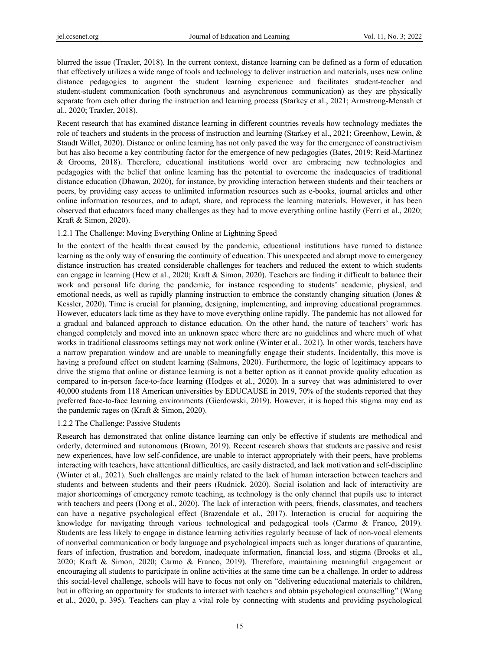blurred the issue (Traxler, 2018). In the current context, distance learning can be defined as a form of education that effectively utilizes a wide range of tools and technology to deliver instruction and materials, uses new online distance pedagogies to augment the student learning experience and facilitates student-teacher and student-student communication (both synchronous and asynchronous communication) as they are physically separate from each other during the instruction and learning process (Starkey et al., 2021; Armstrong-Mensah et al., 2020; Traxler, 2018).

Recent research that has examined distance learning in different countries reveals how technology mediates the role of teachers and students in the process of instruction and learning (Starkey et al., 2021; Greenhow, Lewin, & Staudt Willet, 2020). Distance or online learning has not only paved the way for the emergence of constructivism but has also become a key contributing factor for the emergence of new pedagogies (Bates, 2019; Reid-Martinez & Grooms, 2018). Therefore, educational institutions world over are embracing new technologies and pedagogies with the belief that online learning has the potential to overcome the inadequacies of traditional distance education (Dhawan, 2020), for instance, by providing interaction between students and their teachers or peers, by providing easy access to unlimited information resources such as e-books, journal articles and other online information resources, and to adapt, share, and reprocess the learning materials. However, it has been observed that educators faced many challenges as they had to move everything online hastily (Ferri et al., 2020; Kraft & Simon, 2020).

## 1.2.1 The Challenge: Moving Everything Online at Lightning Speed

In the context of the health threat caused by the pandemic, educational institutions have turned to distance learning as the only way of ensuring the continuity of education. This unexpected and abrupt move to emergency distance instruction has created considerable challenges for teachers and reduced the extent to which students can engage in learning (Hew et al., 2020; Kraft & Simon, 2020). Teachers are finding it difficult to balance their work and personal life during the pandemic, for instance responding to students' academic, physical, and emotional needs, as well as rapidly planning instruction to embrace the constantly changing situation (Jones & Kessler, 2020). Time is crucial for planning, designing, implementing, and improving educational programmes. However, educators lack time as they have to move everything online rapidly. The pandemic has not allowed for a gradual and balanced approach to distance education. On the other hand, the nature of teachers' work has changed completely and moved into an unknown space where there are no guidelines and where much of what works in traditional classrooms settings may not work online (Winter et al., 2021). In other words, teachers have a narrow preparation window and are unable to meaningfully engage their students. Incidentally, this move is having a profound effect on student learning (Salmons, 2020). Furthermore, the logic of legitimacy appears to drive the stigma that online or distance learning is not a better option as it cannot provide quality education as compared to in-person face-to-face learning (Hodges et al., 2020). In a survey that was administered to over 40,000 students from 118 American universities by EDUCAUSE in 2019, 70% of the students reported that they preferred face-to-face learning environments (Gierdowski, 2019). However, it is hoped this stigma may end as the pandemic rages on (Kraft & Simon, 2020).

#### 1.2.2 The Challenge: Passive Students

Research has demonstrated that online distance learning can only be effective if students are methodical and orderly, determined and autonomous (Brown, 2019). Recent research shows that students are passive and resist new experiences, have low self-confidence, are unable to interact appropriately with their peers, have problems interacting with teachers, have attentional difficulties, are easily distracted, and lack motivation and self-discipline (Winter et al., 2021). Such challenges are mainly related to the lack of human interaction between teachers and students and between students and their peers (Rudnick, 2020). Social isolation and lack of interactivity are major shortcomings of emergency remote teaching, as technology is the only channel that pupils use to interact with teachers and peers (Dong et al., 2020). The lack of interaction with peers, friends, classmates, and teachers can have a negative psychological effect (Brazendale et al., 2017). Interaction is crucial for acquiring the knowledge for navigating through various technological and pedagogical tools (Carmo & Franco, 2019). Students are less likely to engage in distance learning activities regularly because of lack of non-vocal elements of nonverbal communication or body language and psychological impacts such as longer durations of quarantine, fears of infection, frustration and boredom, inadequate information, financial loss, and stigma (Brooks et al., 2020; Kraft & Simon, 2020; Carmo & Franco, 2019). Therefore, maintaining meaningful engagement or encouraging all students to participate in online activities at the same time can be a challenge. In order to address this social-level challenge, schools will have to focus not only on "delivering educational materials to children, but in offering an opportunity for students to interact with teachers and obtain psychological counselling" (Wang et al., 2020, p. 395). Teachers can play a vital role by connecting with students and providing psychological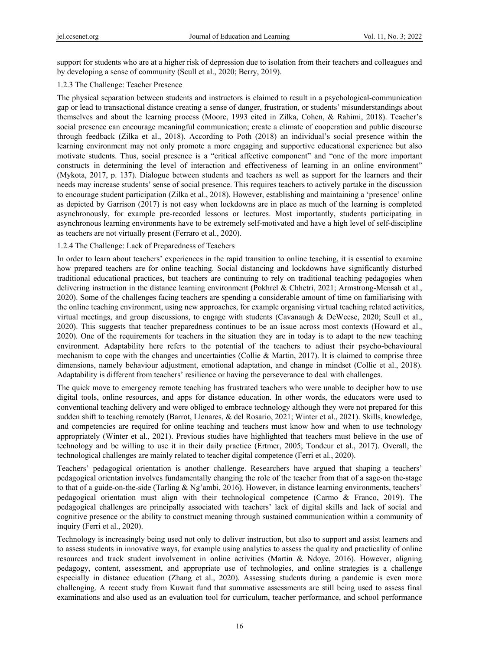support for students who are at a higher risk of depression due to isolation from their teachers and colleagues and by developing a sense of community (Scull et al., 2020; Berry, 2019).

## 1.2.3 The Challenge: Teacher Presence

The physical separation between students and instructors is claimed to result in a psychological-communication gap or lead to transactional distance creating a sense of danger, frustration, or students' misunderstandings about themselves and about the learning process (Moore, 1993 cited in Zilka, Cohen, & Rahimi, 2018). Teacher's social presence can encourage meaningful communication; create a climate of cooperation and public discourse through feedback (Zilka et al., 2018). According to Poth (2018) an individual's social presence within the learning environment may not only promote a more engaging and supportive educational experience but also motivate students. Thus, social presence is a "critical affective component" and "one of the more important constructs in determining the level of interaction and effectiveness of learning in an online environment" (Mykota, 2017, p. 137). Dialogue between students and teachers as well as support for the learners and their needs may increase students' sense of social presence. This requires teachers to actively partake in the discussion to encourage student participation (Zilka et al., 2018). However, establishing and maintaining a 'presence' online as depicted by Garrison (2017) is not easy when lockdowns are in place as much of the learning is completed asynchronously, for example pre-recorded lessons or lectures. Most importantly, students participating in asynchronous learning environments have to be extremely self-motivated and have a high level of self-discipline as teachers are not virtually present (Ferraro et al., 2020).

## 1.2.4 The Challenge: Lack of Preparedness of Teachers

In order to learn about teachers' experiences in the rapid transition to online teaching, it is essential to examine how prepared teachers are for online teaching. Social distancing and lockdowns have significantly disturbed traditional educational practices, but teachers are continuing to rely on traditional teaching pedagogies when delivering instruction in the distance learning environment (Pokhrel & Chhetri, 2021; Armstrong-Mensah et al., 2020). Some of the challenges facing teachers are spending a considerable amount of time on familiarising with the online teaching environment, using new approaches, for example organising virtual teaching related activities, virtual meetings, and group discussions, to engage with students (Cavanaugh & DeWeese, 2020; Scull et al., 2020). This suggests that teacher preparedness continues to be an issue across most contexts (Howard et al., 2020). One of the requirements for teachers in the situation they are in today is to adapt to the new teaching environment. Adaptability here refers to the potential of the teachers to adjust their psycho-behavioural mechanism to cope with the changes and uncertainties (Collie & Martin, 2017). It is claimed to comprise three dimensions, namely behaviour adjustment, emotional adaptation, and change in mindset (Collie et al., 2018). Adaptability is different from teachers' resilience or having the perseverance to deal with challenges.

The quick move to emergency remote teaching has frustrated teachers who were unable to decipher how to use digital tools, online resources, and apps for distance education. In other words, the educators were used to conventional teaching delivery and were obliged to embrace technology although they were not prepared for this sudden shift to teaching remotely (Barrot, Llenares, & del Rosario, 2021; Winter et al., 2021). Skills, knowledge, and competencies are required for online teaching and teachers must know how and when to use technology appropriately (Winter et al., 2021). Previous studies have highlighted that teachers must believe in the use of technology and be willing to use it in their daily practice (Ertmer, 2005; Tondeur et al., 2017). Overall, the technological challenges are mainly related to teacher digital competence (Ferri et al., 2020).

Teachers' pedagogical orientation is another challenge. Researchers have argued that shaping a teachers' pedagogical orientation involves fundamentally changing the role of the teacher from that of a sage-on the-stage to that of a guide-on-the-side (Tarling & Ng'ambi, 2016). However, in distance learning environments, teachers' pedagogical orientation must align with their technological competence (Carmo & Franco, 2019). The pedagogical challenges are principally associated with teachers' lack of digital skills and lack of social and cognitive presence or the ability to construct meaning through sustained communication within a community of inquiry (Ferri et al., 2020).

Technology is increasingly being used not only to deliver instruction, but also to support and assist learners and to assess students in innovative ways, for example using analytics to assess the quality and practicality of online resources and track student involvement in online activities (Martin & Ndoye, 2016). However, aligning pedagogy, content, assessment, and appropriate use of technologies, and online strategies is a challenge especially in distance education (Zhang et al., 2020). Assessing students during a pandemic is even more challenging. A recent study from Kuwait fund that summative assessments are still being used to assess final examinations and also used as an evaluation tool for curriculum, teacher performance, and school performance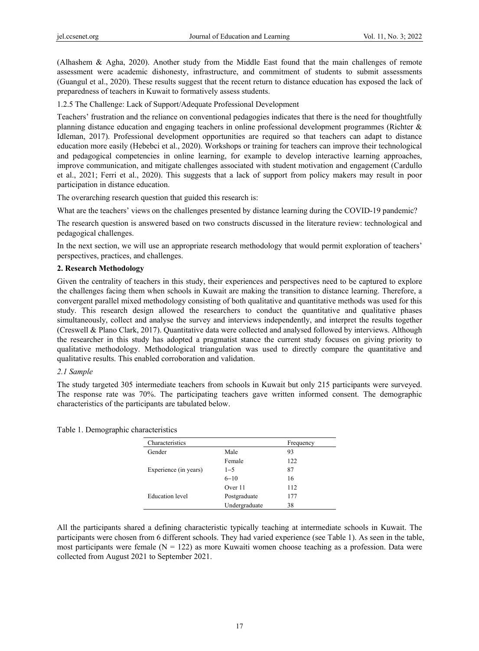(Alhashem & Agha, 2020). Another study from the Middle East found that the main challenges of remote assessment were academic dishonesty, infrastructure, and commitment of students to submit assessments (Guangul et al., 2020). These results suggest that the recent return to distance education has exposed the lack of preparedness of teachers in Kuwait to formatively assess students.

1.2.5 The Challenge: Lack of Support/Adequate Professional Development

Teachers' frustration and the reliance on conventional pedagogies indicates that there is the need for thoughtfully planning distance education and engaging teachers in online professional development programmes (Richter & Idleman, 2017). Professional development opportunities are required so that teachers can adapt to distance education more easily (Hebebci et al., 2020). Workshops or training for teachers can improve their technological and pedagogical competencies in online learning, for example to develop interactive learning approaches, improve communication, and mitigate challenges associated with student motivation and engagement (Cardullo et al., 2021; Ferri et al., 2020). This suggests that a lack of support from policy makers may result in poor participation in distance education.

The overarching research question that guided this research is:

What are the teachers' views on the challenges presented by distance learning during the COVID-19 pandemic?

The research question is answered based on two constructs discussed in the literature review: technological and pedagogical challenges.

In the next section, we will use an appropriate research methodology that would permit exploration of teachers' perspectives, practices, and challenges.

#### **2. Research Methodology**

Given the centrality of teachers in this study, their experiences and perspectives need to be captured to explore the challenges facing them when schools in Kuwait are making the transition to distance learning. Therefore, a convergent parallel mixed methodology consisting of both qualitative and quantitative methods was used for this study. This research design allowed the researchers to conduct the quantitative and qualitative phases simultaneously, collect and analyse the survey and interviews independently, and interpret the results together (Creswell & Plano Clark, 2017). Quantitative data were collected and analysed followed by interviews. Although the researcher in this study has adopted a pragmatist stance the current study focuses on giving priority to qualitative methodology. Methodological triangulation was used to directly compare the quantitative and qualitative results. This enabled corroboration and validation.

## *2.1 Sample*

The study targeted 305 intermediate teachers from schools in Kuwait but only 215 participants were surveyed. The response rate was 70%. The participating teachers gave written informed consent. The demographic characteristics of the participants are tabulated below.

| Characteristics       |               | Frequency |
|-----------------------|---------------|-----------|
| Gender                | Male          | 93        |
|                       | Female        | 122       |
| Experience (in years) | $1 - 5$       | 87        |
|                       | $6 - 10$      | 16        |
|                       | Over 11       | 112       |
| Education level       | Postgraduate  | 177       |
|                       | Undergraduate | 38        |

Table 1. Demographic characteristics

All the participants shared a defining characteristic typically teaching at intermediate schools in Kuwait. The participants were chosen from 6 different schools. They had varied experience (see Table 1). As seen in the table, most participants were female  $(N = 122)$  as more Kuwaiti women choose teaching as a profession. Data were collected from August 2021 to September 2021.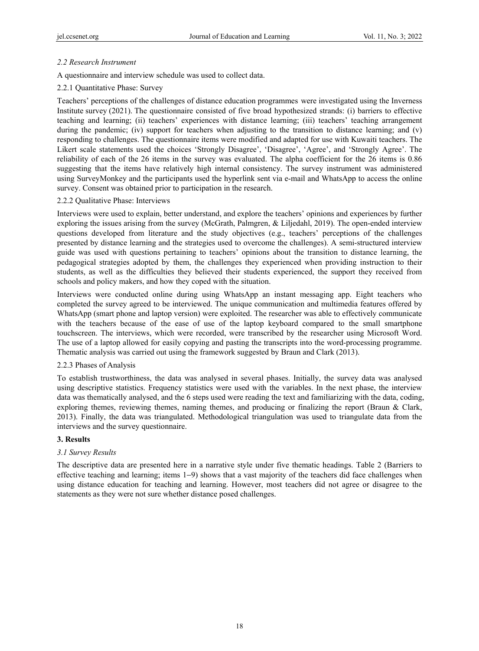## *2.2 Research Instrument*

A questionnaire and interview schedule was used to collect data.

## 2.2.1 Quantitative Phase: Survey

Teachers' perceptions of the challenges of distance education programmes were investigated using the Inverness Institute survey (2021). The questionnaire consisted of five broad hypothesized strands: (i) barriers to effective teaching and learning; (ii) teachers' experiences with distance learning; (iii) teachers' teaching arrangement during the pandemic; (iv) support for teachers when adjusting to the transition to distance learning; and (v) responding to challenges. The questionnaire items were modified and adapted for use with Kuwaiti teachers. The Likert scale statements used the choices 'Strongly Disagree', 'Disagree', 'Agree', and 'Strongly Agree'. The reliability of each of the 26 items in the survey was evaluated. The alpha coefficient for the 26 items is 0.86 suggesting that the items have relatively high internal consistency. The survey instrument was administered using SurveyMonkey and the participants used the hyperlink sent via e-mail and WhatsApp to access the online survey. Consent was obtained prior to participation in the research.

#### 2.2.2 Qualitative Phase: Interviews

Interviews were used to explain, better understand, and explore the teachers' opinions and experiences by further exploring the issues arising from the survey (McGrath, Palmgren, & Liljedahl, 2019). The open-ended interview questions developed from literature and the study objectives (e.g., teachers' perceptions of the challenges presented by distance learning and the strategies used to overcome the challenges). A semi-structured interview guide was used with questions pertaining to teachers' opinions about the transition to distance learning, the pedagogical strategies adopted by them, the challenges they experienced when providing instruction to their students, as well as the difficulties they believed their students experienced, the support they received from schools and policy makers, and how they coped with the situation.

Interviews were conducted online during using WhatsApp an instant messaging app. Eight teachers who completed the survey agreed to be interviewed. The unique communication and multimedia features offered by WhatsApp (smart phone and laptop version) were exploited. The researcher was able to effectively communicate with the teachers because of the ease of use of the laptop keyboard compared to the small smartphone touchscreen. The interviews, which were recorded, were transcribed by the researcher using Microsoft Word. The use of a laptop allowed for easily copying and pasting the transcripts into the word-processing programme. Thematic analysis was carried out using the framework suggested by Braun and Clark (2013).

#### 2.2.3 Phases of Analysis

To establish trustworthiness, the data was analysed in several phases. Initially, the survey data was analysed using descriptive statistics. Frequency statistics were used with the variables. In the next phase, the interview data was thematically analysed, and the 6 steps used were reading the text and familiarizing with the data, coding, exploring themes, reviewing themes, naming themes, and producing or finalizing the report (Braun & Clark, 2013). Finally, the data was triangulated. Methodological triangulation was used to triangulate data from the interviews and the survey questionnaire.

#### **3. Results**

#### *3.1 Survey Results*

The descriptive data are presented here in a narrative style under five thematic headings. Table 2 (Barriers to effective teaching and learning; items 1−9) shows that a vast majority of the teachers did face challenges when using distance education for teaching and learning. However, most teachers did not agree or disagree to the statements as they were not sure whether distance posed challenges.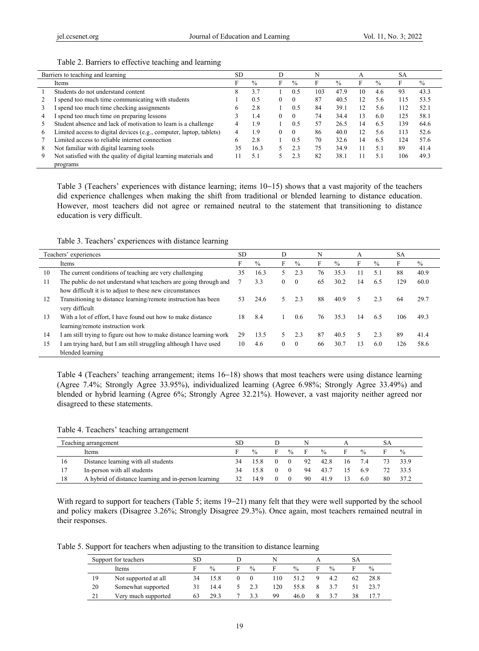# Table 2. Barriers to effective teaching and learning

|   | Barriers to teaching and learning                                   | <b>SD</b> |      |          |               | N   |               |    |               | SА  |               |
|---|---------------------------------------------------------------------|-----------|------|----------|---------------|-----|---------------|----|---------------|-----|---------------|
|   | Items                                                               |           | $\%$ | F        | $\frac{0}{0}$ | F   | $\frac{0}{0}$ |    | $\frac{0}{0}$ |     | $\frac{0}{0}$ |
|   | Students do not understand content                                  | 8         | 3.7  |          | 0.5           | 103 | 47.9          | 10 | 4.6           | 93  | 43.3          |
|   | I spend too much time communicating with students                   |           | 0.5  | $\theta$ | $\theta$      | 87  | 40.5          | 12 | 5.6           | 115 | 53.5          |
|   | I spend too much time checking assignments                          | b         | 2.8  |          | 0.5           | 84  | 39.1          | 12 | 5.6           | 112 | 52.1          |
|   | I spend too much time on preparing lessons                          |           | 1.4  | $\Omega$ | $\Omega$      | 74  | 34.4          | 13 | 6.0           | 125 | 58.1          |
|   | Student absence and lack of motivation to learn is a challenge      | 4         | 1.9  |          | 0.5           | 57  | 26.5          | 14 | 6.5           | 139 | 64.6          |
| 6 | Limited access to digital devices (e.g., computer, laptop, tablets) | 4         | 1.9  | $\Omega$ | $\theta$      | 86  | 40.0          | 12 | 5.6           | 113 | 52.6          |
|   | Limited access to reliable internet connection                      | 6         | 2.8  |          | 0.5           | 70  | 32.6          | 14 | 6.5           | 124 | 57.6          |
| 8 | Not familiar with digital learning tools                            | 35        | 16.3 | 5.       | 2.3           | 75  | 34.9          |    |               | 89  | 41.4          |
| 9 | Not satisfied with the quality of digital learning materials and    |           | 5.1  |          | 2.3           | 82  | 38.1          |    |               | 106 | 49.3          |
|   | programs                                                            |           |      |          |               |     |               |    |               |     |               |

Table 3 (Teachers' experiences with distance learning; items 10−15) shows that a vast majority of the teachers did experience challenges when making the shift from traditional or blended learning to distance education. However, most teachers did not agree or remained neutral to the statement that transitioning to distance education is very difficult.

Table 3. Teachers' experiences with distance learning

| Teachers' experiences |                                                                    | SD. |               | D        |               | N  |               | А  |               | <b>SA</b> |      |
|-----------------------|--------------------------------------------------------------------|-----|---------------|----------|---------------|----|---------------|----|---------------|-----------|------|
|                       | Items                                                              | F   | $\frac{0}{0}$ | F        | $\frac{0}{0}$ | F  | $\frac{0}{0}$ | F  | $\frac{0}{0}$ | F         | $\%$ |
| 10                    | The current conditions of teaching are very challenging            | 35  | 16.3          |          | 2.3           | 76 | 35.3          |    | 5.1           | 88        | 40.9 |
| 11                    | The public do not understand what teachers are going through and   |     | 3.3           | $\Omega$ | $\theta$      | 65 | 30.2          | 14 | 6.5           | 129       | 60.0 |
|                       | how difficult it is to adjust to these new circumstances           |     |               |          |               |    |               |    |               |           |      |
| 12                    | Transitioning to distance learning/remote instruction has been     | 53  | 24.6          | 5        | 2.3           | 88 | 40.9          | 5  | 2.3           | 64        | 29.7 |
|                       | very difficult                                                     |     |               |          |               |    |               |    |               |           |      |
| 13                    | With a lot of effort, I have found out how to make distance        | 18  | 8.4           |          | 0.6           | 76 | 35.3          | 14 | 6.5           | 106       | 49.3 |
|                       | learning/remote instruction work                                   |     |               |          |               |    |               |    |               |           |      |
| 14                    | I am still trying to figure out how to make distance learning work | 29  | 13.5          | 5.       | 2.3           | 87 | 40.5          | 5  | 2.3           | 89        | 41.4 |
| 15                    | I am trying hard, but I am still struggling although I have used   | 10  | 4.6           | $\Omega$ | $\theta$      | 66 | 30.7          | 13 | 6.0           | 126       | 58.6 |
|                       | blended learning                                                   |     |               |          |               |    |               |    |               |           |      |

Table 4 (Teachers' teaching arrangement; items 16−18) shows that most teachers were using distance learning (Agree 7.4%; Strongly Agree 33.95%), individualized learning (Agree 6.98%; Strongly Agree 33.49%) and blended or hybrid learning (Agree 6%; Strongly Agree 32.21%). However, a vast majority neither agreed nor disagreed to these statements.

Table 4. Teachers' teaching arrangement

|    | Teaching arrangement                                 | SD |               |               |    |               |     |               |    |               |
|----|------------------------------------------------------|----|---------------|---------------|----|---------------|-----|---------------|----|---------------|
|    | Items                                                |    | $\frac{0}{0}$ | $\frac{0}{0}$ | н. | $\frac{0}{0}$ |     | $\frac{0}{0}$ |    | $\frac{0}{0}$ |
| 16 | Distance learning with all students                  |    |               | $\Omega$      | 92 | 42.8          | 16. | 74            |    | 33.9          |
|    | In-person with all students                          |    | 15.8          |               | 94 | 43.7          |     |               |    | 33.5          |
| 18 | A hybrid of distance learning and in-person learning |    | 149           |               | 90 | 41.9          |     | 6.0           | 80 |               |

With regard to support for teachers (Table 5; items 19−21) many felt that they were well supported by the school and policy makers (Disagree 3.26%; Strongly Disagree 29.3%). Once again, most teachers remained neutral in their responses.

Table 5. Support for teachers when adjusting to the transition to distance learning

|    | Support for teachers | <b>SD</b> |               |   |               | N  |               |   |      | SА |               |
|----|----------------------|-----------|---------------|---|---------------|----|---------------|---|------|----|---------------|
|    | Items                |           | $\frac{0}{0}$ | F | $\frac{0}{0}$ | F  | $\frac{0}{0}$ | ы | $\%$ |    | $\frac{0}{0}$ |
| 19 | Not supported at all |           | 15.8          |   |               | 10 | 51.2          |   | 4.2  | 62 | 28.8          |
| 20 | Somewhat supported   |           | 14.4          |   | 23            | 20 | 55.8          |   |      |    | 23.7          |
| 21 | Very much supported  | 63        | 29.3          |   | 3.3           | 99 | 46.0          |   |      | 38 |               |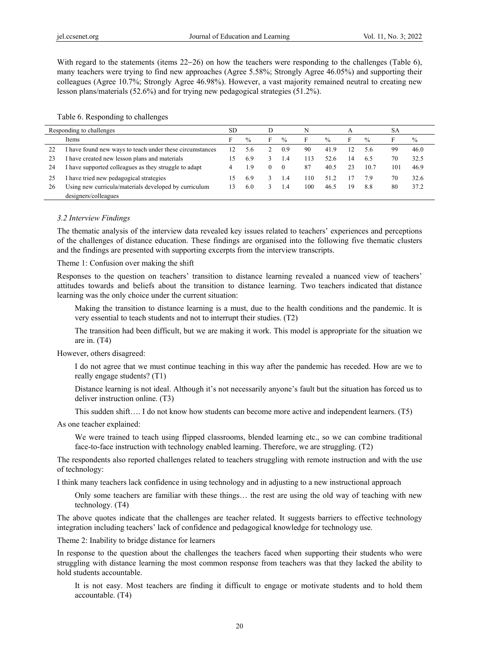With regard to the statements (items 22−26) on how the teachers were responding to the challenges (Table 6), many teachers were trying to find new approaches (Agree 5.58%; Strongly Agree 46.05%) and supporting their colleagues (Agree 10.7%; Strongly Agree 46.98%). However, a vast majority remained neutral to creating new lesson plans/materials (52.6%) and for trying new pedagogical strategies (51.2%).

Table 6. Responding to challenges

| Responding to challenges |                                                          | <b>SD</b> |               |   |               | N   |               |    |               |     |               |
|--------------------------|----------------------------------------------------------|-----------|---------------|---|---------------|-----|---------------|----|---------------|-----|---------------|
|                          | Items                                                    | E.        | $\frac{0}{0}$ | F | $\frac{0}{0}$ | F   | $\frac{0}{0}$ | F  | $\frac{0}{0}$ |     | $\frac{0}{0}$ |
| 22                       | I have found new ways to teach under these circumstances |           | 5.6           |   | 0.9           | 90  | 41.9          |    | 5.6           | 99  | 46.0          |
| 23                       | I have created new lesson plans and materials            | 15        | 6.9           |   | 1.4           | 113 | 52.6          | 14 | 6.5           | 70  | 32.5          |
| 24                       | I have supported colleagues as they struggle to adapt    | 4         | 1.9           |   | $\Omega$      | 87  | 40.5          | 23 | 10.7          | 101 | 46.9          |
| 25                       | have tried new pedagogical strategies                    | 15        | 6.9           |   | 1.4           | 110 | 51.2          |    | 7.9           | 70  | 32.6          |
| 26                       | Using new curricula/materials developed by curriculum    | 13        | 6.0           |   | 1.4           | 100 | 46.5          | 19 | 8.8           | 80  | 37.2          |
|                          | designers/colleagues                                     |           |               |   |               |     |               |    |               |     |               |

#### *3.2 Interview Findings*

The thematic analysis of the interview data revealed key issues related to teachers' experiences and perceptions of the challenges of distance education. These findings are organised into the following five thematic clusters and the findings are presented with supporting excerpts from the interview transcripts.

Theme 1: Confusion over making the shift

Responses to the question on teachers' transition to distance learning revealed a nuanced view of teachers' attitudes towards and beliefs about the transition to distance learning. Two teachers indicated that distance learning was the only choice under the current situation:

Making the transition to distance learning is a must, due to the health conditions and the pandemic. It is very essential to teach students and not to interrupt their studies. (T2)

The transition had been difficult, but we are making it work. This model is appropriate for the situation we are in. (T4)

However, others disagreed:

I do not agree that we must continue teaching in this way after the pandemic has receded. How are we to really engage students? (T1)

Distance learning is not ideal. Although it's not necessarily anyone's fault but the situation has forced us to deliver instruction online. (T3)

This sudden shift…. I do not know how students can become more active and independent learners. (T5)

As one teacher explained:

We were trained to teach using flipped classrooms, blended learning etc., so we can combine traditional face-to-face instruction with technology enabled learning. Therefore, we are struggling. (T2)

The respondents also reported challenges related to teachers struggling with remote instruction and with the use of technology:

I think many teachers lack confidence in using technology and in adjusting to a new instructional approach

Only some teachers are familiar with these things… the rest are using the old way of teaching with new technology. (T4)

The above quotes indicate that the challenges are teacher related. It suggests barriers to effective technology integration including teachers' lack of confidence and pedagogical knowledge for technology use.

Theme 2: Inability to bridge distance for learners

In response to the question about the challenges the teachers faced when supporting their students who were struggling with distance learning the most common response from teachers was that they lacked the ability to hold students accountable.

It is not easy. Most teachers are finding it difficult to engage or motivate students and to hold them accountable. (T4)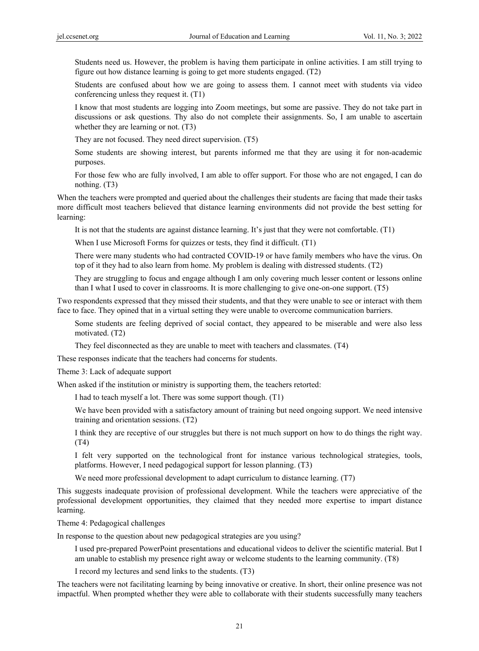Students need us. However, the problem is having them participate in online activities. I am still trying to figure out how distance learning is going to get more students engaged. (T2)

Students are confused about how we are going to assess them. I cannot meet with students via video conferencing unless they request it. (T1)

I know that most students are logging into Zoom meetings, but some are passive. They do not take part in discussions or ask questions. Thy also do not complete their assignments. So, I am unable to ascertain whether they are learning or not. (T3)

They are not focused. They need direct supervision. (T5)

Some students are showing interest, but parents informed me that they are using it for non-academic purposes.

For those few who are fully involved, I am able to offer support. For those who are not engaged, I can do nothing. (T3)

When the teachers were prompted and queried about the challenges their students are facing that made their tasks more difficult most teachers believed that distance learning environments did not provide the best setting for learning:

It is not that the students are against distance learning. It's just that they were not comfortable. (T1)

When I use Microsoft Forms for quizzes or tests, they find it difficult. (T1)

There were many students who had contracted COVID-19 or have family members who have the virus. On top of it they had to also learn from home. My problem is dealing with distressed students. (T2)

They are struggling to focus and engage although I am only covering much lesser content or lessons online than I what I used to cover in classrooms. It is more challenging to give one-on-one support. (T5)

Two respondents expressed that they missed their students, and that they were unable to see or interact with them face to face. They opined that in a virtual setting they were unable to overcome communication barriers.

Some students are feeling deprived of social contact, they appeared to be miserable and were also less motivated. (T2)

They feel disconnected as they are unable to meet with teachers and classmates. (T4)

These responses indicate that the teachers had concerns for students.

Theme 3: Lack of adequate support

When asked if the institution or ministry is supporting them, the teachers retorted:

I had to teach myself a lot. There was some support though. (T1)

We have been provided with a satisfactory amount of training but need ongoing support. We need intensive training and orientation sessions. (T2)

I think they are receptive of our struggles but there is not much support on how to do things the right way. (T4)

I felt very supported on the technological front for instance various technological strategies, tools, platforms. However, I need pedagogical support for lesson planning. (T3)

We need more professional development to adapt curriculum to distance learning. (T7)

This suggests inadequate provision of professional development. While the teachers were appreciative of the professional development opportunities, they claimed that they needed more expertise to impart distance learning.

Theme 4: Pedagogical challenges

In response to the question about new pedagogical strategies are you using?

I used pre-prepared PowerPoint presentations and educational videos to deliver the scientific material. But I am unable to establish my presence right away or welcome students to the learning community. (T8)

I record my lectures and send links to the students. (T3)

The teachers were not facilitating learning by being innovative or creative. In short, their online presence was not impactful. When prompted whether they were able to collaborate with their students successfully many teachers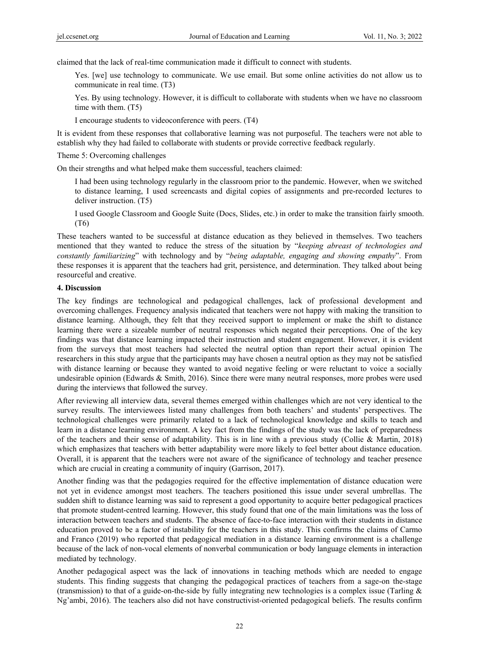claimed that the lack of real-time communication made it difficult to connect with students.

Yes. [we] use technology to communicate. We use email. But some online activities do not allow us to communicate in real time. (T3)

Yes. By using technology. However, it is difficult to collaborate with students when we have no classroom time with them. (T5)

I encourage students to videoconference with peers. (T4)

It is evident from these responses that collaborative learning was not purposeful. The teachers were not able to establish why they had failed to collaborate with students or provide corrective feedback regularly.

Theme 5: Overcoming challenges

On their strengths and what helped make them successful, teachers claimed:

I had been using technology regularly in the classroom prior to the pandemic. However, when we switched to distance learning, I used screencasts and digital copies of assignments and pre-recorded lectures to deliver instruction. (T5)

I used Google Classroom and Google Suite (Docs, Slides, etc.) in order to make the transition fairly smooth. (T6)

These teachers wanted to be successful at distance education as they believed in themselves. Two teachers mentioned that they wanted to reduce the stress of the situation by "*keeping abreast of technologies and constantly familiarizing*" with technology and by "*being adaptable, engaging and showing empathy*". From these responses it is apparent that the teachers had grit, persistence, and determination. They talked about being resourceful and creative.

#### **4. Discussion**

The key findings are technological and pedagogical challenges, lack of professional development and overcoming challenges. Frequency analysis indicated that teachers were not happy with making the transition to distance learning. Although, they felt that they received support to implement or make the shift to distance learning there were a sizeable number of neutral responses which negated their perceptions. One of the key findings was that distance learning impacted their instruction and student engagement. However, it is evident from the surveys that most teachers had selected the neutral option than report their actual opinion The researchers in this study argue that the participants may have chosen a neutral option as they may not be satisfied with distance learning or because they wanted to avoid negative feeling or were reluctant to voice a socially undesirable opinion (Edwards  $&$  Smith, 2016). Since there were many neutral responses, more probes were used during the interviews that followed the survey.

After reviewing all interview data, several themes emerged within challenges which are not very identical to the survey results. The interviewees listed many challenges from both teachers' and students' perspectives. The technological challenges were primarily related to a lack of technological knowledge and skills to teach and learn in a distance learning environment. A key fact from the findings of the study was the lack of preparedness of the teachers and their sense of adaptability. This is in line with a previous study (Collie & Martin, 2018) which emphasizes that teachers with better adaptability were more likely to feel better about distance education. Overall, it is apparent that the teachers were not aware of the significance of technology and teacher presence which are crucial in creating a community of inquiry (Garrison, 2017).

Another finding was that the pedagogies required for the effective implementation of distance education were not yet in evidence amongst most teachers. The teachers positioned this issue under several umbrellas. The sudden shift to distance learning was said to represent a good opportunity to acquire better pedagogical practices that promote student-centred learning. However, this study found that one of the main limitations was the loss of interaction between teachers and students. The absence of face-to-face interaction with their students in distance education proved to be a factor of instability for the teachers in this study. This confirms the claims of Carmo and Franco (2019) who reported that pedagogical mediation in a distance learning environment is a challenge because of the lack of non-vocal elements of nonverbal communication or body language elements in interaction mediated by technology.

Another pedagogical aspect was the lack of innovations in teaching methods which are needed to engage students. This finding suggests that changing the pedagogical practices of teachers from a sage-on the-stage (transmission) to that of a guide-on-the-side by fully integrating new technologies is a complex issue (Tarling  $\&$ Ng'ambi, 2016). The teachers also did not have constructivist-oriented pedagogical beliefs. The results confirm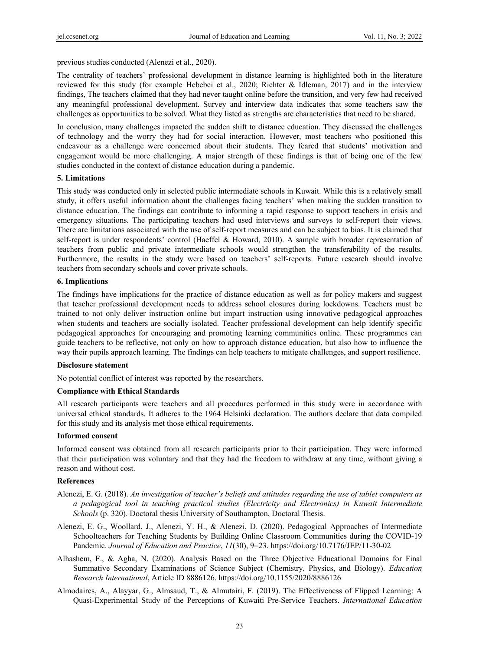previous studies conducted (Alenezi et al., 2020).

The centrality of teachers' professional development in distance learning is highlighted both in the literature reviewed for this study (for example Hebebci et al., 2020; Richter & Idleman, 2017) and in the interview findings, The teachers claimed that they had never taught online before the transition, and very few had received any meaningful professional development. Survey and interview data indicates that some teachers saw the challenges as opportunities to be solved. What they listed as strengths are characteristics that need to be shared.

In conclusion, many challenges impacted the sudden shift to distance education. They discussed the challenges of technology and the worry they had for social interaction. However, most teachers who positioned this endeavour as a challenge were concerned about their students. They feared that students' motivation and engagement would be more challenging. A major strength of these findings is that of being one of the few studies conducted in the context of distance education during a pandemic.

## **5. Limitations**

This study was conducted only in selected public intermediate schools in Kuwait. While this is a relatively small study, it offers useful information about the challenges facing teachers' when making the sudden transition to distance education. The findings can contribute to informing a rapid response to support teachers in crisis and emergency situations. The participating teachers had used interviews and surveys to self-report their views. There are limitations associated with the use of self-report measures and can be subject to bias. It is claimed that self-report is under respondents' control (Haeffel & Howard, 2010). A sample with broader representation of teachers from public and private intermediate schools would strengthen the transferability of the results. Furthermore, the results in the study were based on teachers' self-reports. Future research should involve teachers from secondary schools and cover private schools.

#### **6. Implications**

The findings have implications for the practice of distance education as well as for policy makers and suggest that teacher professional development needs to address school closures during lockdowns. Teachers must be trained to not only deliver instruction online but impart instruction using innovative pedagogical approaches when students and teachers are socially isolated. Teacher professional development can help identify specific pedagogical approaches for encouraging and promoting learning communities online. These programmes can guide teachers to be reflective, not only on how to approach distance education, but also how to influence the way their pupils approach learning. The findings can help teachers to mitigate challenges, and support resilience.

#### **Disclosure statement**

No potential conflict of interest was reported by the researchers.

#### **Compliance with Ethical Standards**

All research participants were teachers and all procedures performed in this study were in accordance with universal ethical standards. It adheres to the 1964 Helsinki declaration. The authors declare that data compiled for this study and its analysis met those ethical requirements.

#### **Informed consent**

Informed consent was obtained from all research participants prior to their participation. They were informed that their participation was voluntary and that they had the freedom to withdraw at any time, without giving a reason and without cost.

# **References**

- Alenezi, E. G. (2018). *An investigation of teacher's beliefs and attitudes regarding the use of tablet computers as a pedagogical tool in teaching practical studies (Electricity and Electronics) in Kuwait Intermediate Schools* (p. 320). Doctoral thesis University of Southampton, Doctoral Thesis.
- Alenezi, E. G., Woollard, J., Alenezi, Y. H., & Alenezi, D. (2020). Pedagogical Approaches of Intermediate Schoolteachers for Teaching Students by Building Online Classroom Communities during the COVID-19 Pandemic. *Journal of Education and Practice*, *11*(30), 9−23. https://doi.org/10.7176/JEP/11-30-02
- Alhashem, F., & Agha, N. (2020). Analysis Based on the Three Objective Educational Domains for Final Summative Secondary Examinations of Science Subject (Chemistry, Physics, and Biology). *Education Research International*, Article ID 8886126. https://doi.org/10.1155/2020/8886126
- Almodaires, A., Alayyar, G., Almsaud, T., & Almutairi, F. (2019). The Effectiveness of Flipped Learning: A Quasi-Experimental Study of the Perceptions of Kuwaiti Pre-Service Teachers. *International Education*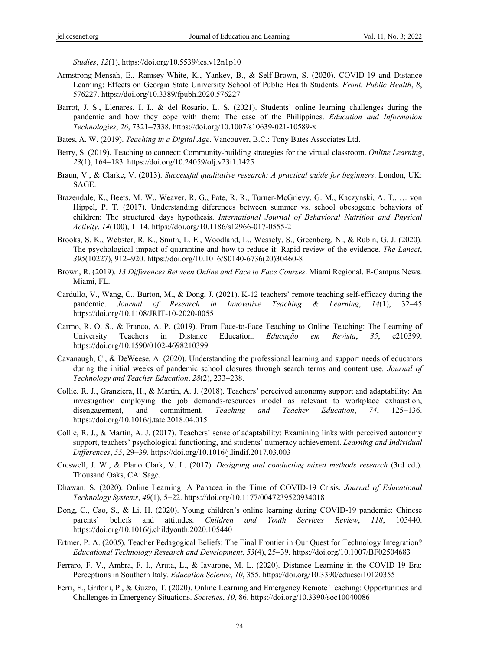*Studies*, *12*(1), https://doi.org/10.5539/ies.v12n1p10

- Armstrong-Mensah, E., Ramsey-White, K., Yankey, B., & Self-Brown, S. (2020). COVID-19 and Distance Learning: Effects on Georgia State University School of Public Health Students. *Front. Public Health*, *8*, 576227. https://doi.org/10.3389/fpubh.2020.576227
- Barrot, J. S., Llenares, I. I., & del Rosario, L. S. (2021). Students' online learning challenges during the pandemic and how they cope with them: The case of the Philippines. *Education and Information Technologies*, *26*, 7321−7338. https://doi.org/10.1007/s10639-021-10589-x
- Bates, A. W. (2019). *Teaching in a Digital Age*. Vancouver, B.C.: Tony Bates Associates Ltd.
- Berry, S. (2019). Teaching to connect: Community-building strategies for the virtual classroom. *Online Learning*, *23*(1), 164−183. https://doi.org/10.24059/olj.v23i1.1425
- Braun, V., & Clarke, V. (2013). *Successful qualitative research: A practical guide for beginners*. London, UK: SAGE.
- Brazendale, K., Beets, M. W., Weaver, R. G., Pate, R. R., Turner-McGrievy, G. M., Kaczynski, A. T., … von Hippel, P. T. (2017). Understanding diferences between summer vs. school obesogenic behaviors of children: The structured days hypothesis. *International Journal of Behavioral Nutrition and Physical Activity*, *14*(100), 1−14. https://doi.org/10.1186/s12966-017-0555-2
- Brooks, S. K., Webster, R. K., Smith, L. E., Woodland, L., Wessely, S., Greenberg, N., & Rubin, G. J. (2020). The psychological impact of quarantine and how to reduce it: Rapid review of the evidence. *The Lancet*, *395*(10227), 912−920. https://doi.org/10.1016/S0140-6736(20)30460-8
- Brown, R. (2019). *13 Differences Between Online and Face to Face Courses*. Miami Regional. E-Campus News. Miami, FL.
- Cardullo, V., Wang, C., Burton, M., & Dong, J. (2021). K-12 teachers' remote teaching self-efficacy during the pandemic. *Journal of Research in Innovative Teaching & Learning*, *14*(1), 32−45 https://doi.org/10.1108/JRIT-10-2020-0055
- Carmo, R. O. S., & Franco, A. P. (2019). From Face-to-Face Teaching to Online Teaching: The Learning of University Teachers in Distance Education. *Educação em Revista*, *35*, e210399. https://doi.org/10.1590/0102-4698210399
- Cavanaugh, C., & DeWeese, A. (2020). Understanding the professional learning and support needs of educators during the initial weeks of pandemic school closures through search terms and content use. *Journal of Technology and Teacher Education*, *28*(2), 233−238.
- Collie, R. J., Granziera, H., & Martin, A. J. (2018). Teachers' perceived autonomy support and adaptability: An investigation employing the job demands-resources model as relevant to workplace exhaustion, disengagement, and commitment. *Teaching and Teacher Education*, *74*, 125−136. https://doi.org/10.1016/j.tate.2018.04.015
- Collie, R. J., & Martin, A. J. (2017). Teachers' sense of adaptability: Examining links with perceived autonomy support, teachers' psychological functioning, and students' numeracy achievement. *Learning and Individual Differences*, *55*, 29−39. https://doi.org/10.1016/j.lindif.2017.03.003
- Creswell, J. W., & Plano Clark, V. L. (2017). *Designing and conducting mixed methods research* (3rd ed.). Thousand Oaks, CA: Sage.
- Dhawan, S. (2020). Online Learning: A Panacea in the Time of COVID-19 Crisis. *Journal of Educational Technology Systems*, *49*(1), 5−22. https://doi.org/10.1177/0047239520934018
- Dong, C., Cao, S., & Li, H. (2020). Young children's online learning during COVID-19 pandemic: Chinese parents' beliefs and attitudes. *Children and Youth Services Review*, *118*, 105440. https://doi.org/10.1016/j.childyouth.2020.105440
- Ertmer, P. A. (2005). Teacher Pedagogical Beliefs: The Final Frontier in Our Quest for Technology Integration? *Educational Technology Research and Development*, *53*(4), 25−39. https://doi.org/10.1007/BF02504683
- Ferraro, F. V., Ambra, F. I., Aruta, L., & Iavarone, M. L. (2020). Distance Learning in the COVID-19 Era: Perceptions in Southern Italy. *Education Science*, *10*, 355. https://doi.org/10.3390/educsci10120355
- Ferri, F., Grifoni, P., & Guzzo, T. (2020). Online Learning and Emergency Remote Teaching: Opportunities and Challenges in Emergency Situations. *Societies*, *10*, 86. https://doi.org/10.3390/soc10040086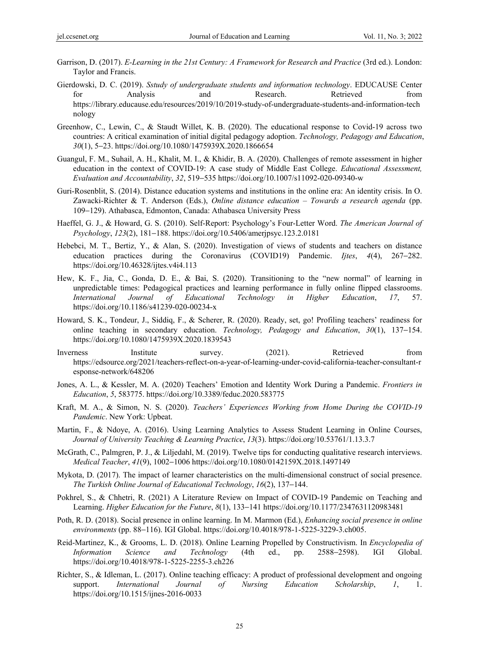- Garrison, D. (2017). *E-Learning in the 21st Century: A Framework for Research and Practice* (3rd ed.). London: Taylor and Francis.
- Gierdowski, D. C. (2019). *Sstudy of undergraduate students and information technology*. EDUCAUSE Center for Analysis and Research. Retrieved from https://library.educause.edu/resources/2019/10/2019-study-of-undergraduate-students-and-information-tech nology
- Greenhow, C., Lewin, C., & Staudt Willet, K. B. (2020). The educational response to Covid-19 across two countries: A critical examination of initial digital pedagogy adoption. *Technology, Pedagogy and Education*, *30*(1), 5−23. https://doi.org/10.1080/1475939X.2020.1866654
- Guangul, F. M., Suhail, A. H., Khalit, M. I., & Khidir, B. A. (2020). Challenges of remote assessment in higher education in the context of COVID-19: A case study of Middle East College. *Educational Assessment, Evaluation and Accountability*, *32*, 519−535 https://doi.org/10.1007/s11092-020-09340-w
- Guri-Rosenblit, S. (2014). Distance education systems and institutions in the online era: An identity crisis. In O. Zawacki-Richter & T. Anderson (Eds.), *Online distance education – Towards a research agenda* (pp. 109−129). Athabasca, Edmonton, Canada: Athabasca University Press
- Haeffel, G. J., & Howard, G. S. (2010). Self-Report: Psychology's Four-Letter Word. *The American Journal of Psychology*, *123*(2), 181−188. https://doi.org/10.5406/amerjpsyc.123.2.0181
- Hebebci, M. T., Bertiz, Y., & Alan, S. (2020). Investigation of views of students and teachers on distance education practices during the Coronavirus (COVID19) Pandemic. *Ijtes*, *4*(4), 267−282. https://doi.org/10.46328/ijtes.v4i4.113
- Hew, K. F., Jia, C., Gonda, D. E., & Bai, S. (2020). Transitioning to the "new normal" of learning in unpredictable times: Pedagogical practices and learning performance in fully online flipped classrooms. *International Journal of Educational Technology in Higher Education*, *17*, 57. https://doi.org/10.1186/s41239-020-00234-x
- Howard, S. K., Tondeur, J., Siddiq, F., & Scherer, R. (2020). Ready, set, go! Profiling teachers' readiness for online teaching in secondary education. *Technology, Pedagogy and Education*, *30*(1), 137−154. https://doi.org/10.1080/1475939X.2020.1839543
- Inverness Institute survey. (2021). Retrieved from https://edsource.org/2021/teachers-reflect-on-a-year-of-learning-under-covid-california-teacher-consultant-r esponse-network/648206
- Jones, A. L., & Kessler, M. A. (2020) Teachers' Emotion and Identity Work During a Pandemic. *Frontiers in Education*, *5*, 583775. https://doi.org/10.3389/feduc.2020.583775
- Kraft, M. A., & Simon, N. S. (2020). *Teachers' Experiences Working from Home During the COVID-19 Pandemic*. New York: Upbeat.
- Martin, F., & Ndoye, A. (2016). Using Learning Analytics to Assess Student Learning in Online Courses, *Journal of University Teaching & Learning Practice*, *13*(3). https://doi.org/10.53761/1.13.3.7
- McGrath, C., Palmgren, P. J., & Liljedahl, M. (2019). Twelve tips for conducting qualitative research interviews. *Medical Teacher*, *41*(9), 1002−1006 https://doi.org/10.1080/0142159X.2018.1497149
- Mykota, D. (2017). The impact of learner characteristics on the multi-dimensional construct of social presence. *The Turkish Online Journal of Educational Technology*, *16*(2), 137−144.
- Pokhrel, S., & Chhetri, R. (2021) A Literature Review on Impact of COVID-19 Pandemic on Teaching and Learning. *Higher Education for the Future*, *8*(1), 133−141 https://doi.org/10.1177/2347631120983481
- Poth, R. D. (2018). Social presence in online learning. In M. Marmon (Ed.), *Enhancing social presence in online environments* (pp. 88−116). IGI Global. https://doi.org/10.4018/978-1-5225-3229-3.ch005.
- Reid-Martinez, K., & Grooms, L. D. (2018). Online Learning Propelled by Constructivism. In *Encyclopedia of Information Science and Technology* (4th ed., pp. 2588−2598). IGI Global. https://doi.org/10.4018/978-1-5225-2255-3.ch226
- Richter, S., & Idleman, L. (2017). Online teaching efficacy: A product of professional development and ongoing support. *International Journal of Nursing Education Scholarship*, *1*, 1. https://doi.org/10.1515/ijnes-2016-0033